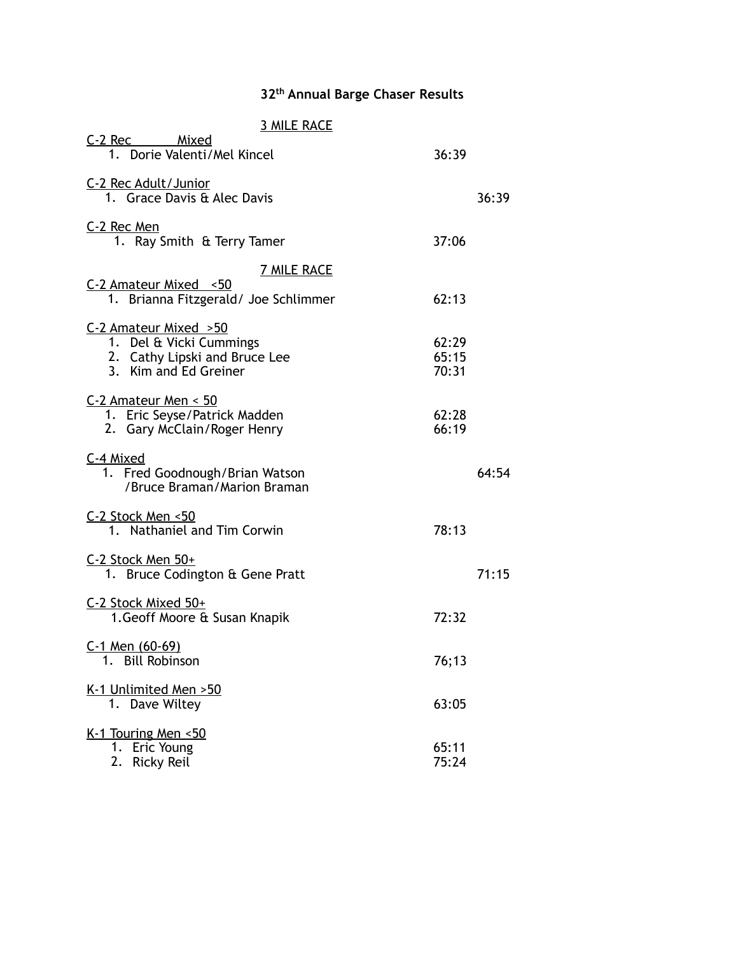## **32th Annual Barge Chaser Results**

| <b>3 MILE RACE</b>                                                         |                |       |
|----------------------------------------------------------------------------|----------------|-------|
| C-2 Rec Mixed<br>1. Dorie Valenti/Mel Kincel                               | 36:39          |       |
| C-2 Rec Adult/Junior<br>1. Grace Davis & Alec Davis                        |                | 36:39 |
| C-2 Rec Men<br>1. Ray Smith & Terry Tamer                                  | 37:06          |       |
| <b>7 MILE RACE</b>                                                         |                |       |
| C-2 Amateur Mixed <50<br>1. Brianna Fitzgerald/ Joe Schlimmer              | 62:13          |       |
| C-2 Amateur Mixed > 50                                                     |                |       |
| 1. Del & Vicki Cummings<br>2. Cathy Lipski and Bruce Lee                   | 62:29<br>65:15 |       |
| 3. Kim and Ed Greiner                                                      | 70:31          |       |
| $C-2$ Amateur Men < 50                                                     |                |       |
| 1. Eric Seyse/Patrick Madden                                               | 62:28<br>66:19 |       |
| 2. Gary McClain/Roger Henry                                                |                |       |
| C-4 Mixed<br>1. Fred Goodnough/Brian Watson<br>/Bruce Braman/Marion Braman |                | 64:54 |
| C-2 Stock Men <50<br>1. Nathaniel and Tim Corwin                           | 78:13          |       |
| C-2 Stock Men 50+<br>1. Bruce Codington & Gene Pratt                       |                | 71:15 |
|                                                                            |                |       |
| C-2 Stock Mixed 50+<br>1. Geoff Moore & Susan Knapik                       | 72:32          |       |
| C-1 Men (60-69)<br>1.<br><b>Bill Robinson</b>                              | 76;13          |       |
|                                                                            |                |       |
| K-1 Unlimited Men > 50<br>1. Dave Wiltey                                   | 63:05          |       |
| K-1 Touring Men <50                                                        |                |       |
| 1.<br>Eric Young                                                           | 65:11          |       |
| 2.<br>Ricky Reil                                                           | 75:24          |       |